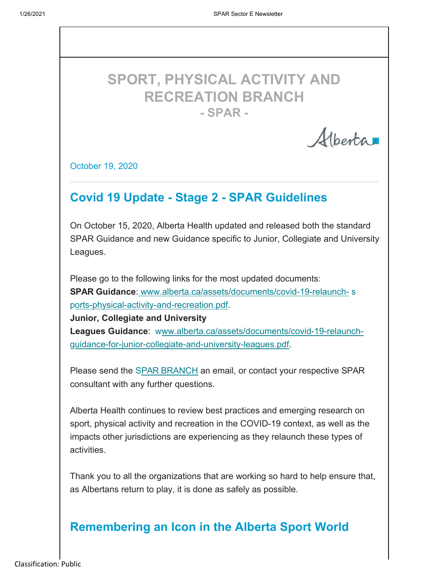# **SPORT, PHYSICAL ACTIVITY AND RECREATION BRANCH - SPAR -**

Albertan

October 19, 2020

### **Covid 19 Update - Stage 2 - SPAR Guidelines**

On October 15, 2020, Alberta Health updated and released both the standard SPAR Guidance and new Guidance specific to Junior, Collegiate and University Leagues.

Please go to the following links for the most updated documents: **SPAR Guidance**: www.alberta.ca/assets/documents/covid-19-relaunch- s ports-physical-activity-and-recreation.pdf.

**Junior, Collegiate and University** Leagues Guidance: www.alberta.ca/assets/documents/covid-19-relaunchguidance-for-junior-collegiate-and-university-leagues.pdf.

Please send the SPAR BRANCH an email, or contact your respective SPAR consultant with any further questions.

Alberta Health continues to review best practices and emerging research on sport, physical activity and recreation in the COVID-19 context, as well as the impacts other jurisdictions are experiencing as they relaunch these types of activities.

Thank you to all the organizations that are working so hard to help ensure that, as Albertans return to play, it is done as safely as possible.

#### **Remembering an Icon in the Alberta Sport World**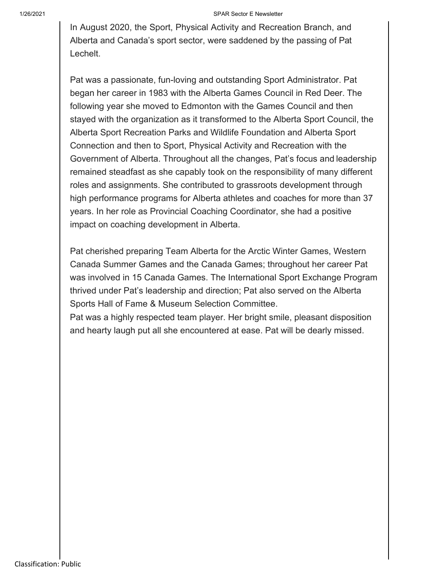#### 1/26/2021 SPAR Sector E Newsletter

In August 2020, the Sport, Physical Activity and Recreation Branch, and Alberta and Canada's sport sector, were saddened by the passing of Pat Lechelt.

Pat was a passionate, fun-loving and outstanding Sport Administrator. Pat began her career in 1983 with the Alberta Games Council in Red Deer. The following year she moved to Edmonton with the Games Council and then stayed with the organization as it transformed to the Alberta Sport Council, the Alberta Sport Recreation Parks and Wildlife Foundation and Alberta Sport Connection and then to Sport, Physical Activity and Recreation with the Government of Alberta. Throughout all the changes, Pat's focus and leadership remained steadfast as she capably took on the responsibility of many different roles and assignments. She contributed to grassroots development through high performance programs for Alberta athletes and coaches for more than 37 years. In her role as Provincial Coaching Coordinator, she had a positive impact on coaching development in Alberta.

Pat cherished preparing Team Alberta for the Arctic Winter Games, Western Canada Summer Games and the Canada Games; throughout her career Pat was involved in 15 Canada Games. The International Sport Exchange Program thrived under Pat's leadership and direction; Pat also served on the Alberta Sports Hall of Fame & Museum Selection Committee.

Pat was a highly respected team player. Her bright smile, pleasant disposition and hearty laugh put all she encountered at ease. Pat will be dearly missed.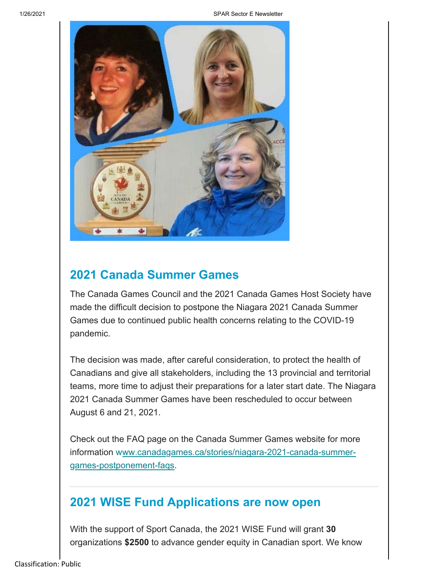1/26/2021 SPAR Sector E Newsletter



#### **2021 Canada Summer Games**

The Canada Games Council and the 2021 Canada Games Host Society have made the difficult decision to postpone the Niagara 2021 Canada Summer Games due to continued public health concerns relating to the COVID-19 pandemic.

The decision was made, after careful consideration, to protect the health of Canadians and give all stakeholders, including the 13 provincial and territorial teams, more time to adjust their preparations for a later start date. The Niagara 2021 Canada Summer Games have been rescheduled to occur between August 6 and 21, 2021.

Check out the FAQ page on the Canada Summer Games website for more information www.canadagames.ca/stories/niagara-2021-canada-summergames-postponement-faqs.

#### **2021 WISE Fund Applications are now open**

With the support of Sport Canada, the 2021 WISE Fund will grant **30** organizations **\$2500** to advance gender equity in Canadian sport. We know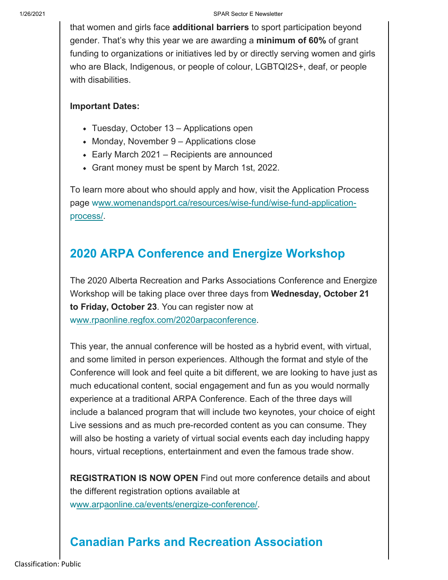that women and girls face **additional barriers** to sport participation beyond gender. That's why this year we are awarding a **minimum of 60%** of grant funding to organizations or initiatives led by or directly serving women and girls who are Black, Indigenous, or people of colour, LGBTQI2S+, deaf, or people with disabilities.

#### **Important Dates:**

- Tuesday, October 13 Applications open
- Monday, November 9 Applications close
- Early March 2021 Recipients are announced
- Grant money must be spent by March 1st, 2022.

To learn more about who should apply and how, visit the Application Process page www.womenandsport.ca/resources/wise-fund/wise-fund-applicationprocess/.

#### **2020 ARPA Conference and Energize Workshop**

The 2020 Alberta Recreation and Parks Associations Conference and Energize Workshop will be taking place over three days from **Wednesday, October 21 to Friday, October 23**. You can register now at www.rpaonline.regfox.com/2020arpaconference.

This year, the annual conference will be hosted as a hybrid event, with virtual, and some limited in person experiences. Although the format and style of the Conference will look and feel quite a bit different, we are looking to have just as much educational content, social engagement and fun as you would normally experience at a traditional ARPA Conference. Each of the three days will include a balanced program that will include two keynotes, your choice of eight Live sessions and as much pre-recorded content as you can consume. They will also be hosting a variety of virtual social events each day including happy hours, virtual receptions, entertainment and even the famous trade show.

**REGISTRATION IS NOW OPEN** Find out more conference details and about the different registration options available at

www.arpaonline.ca/events/energize-conference/.

## **Canadian Parks and Recreation Association**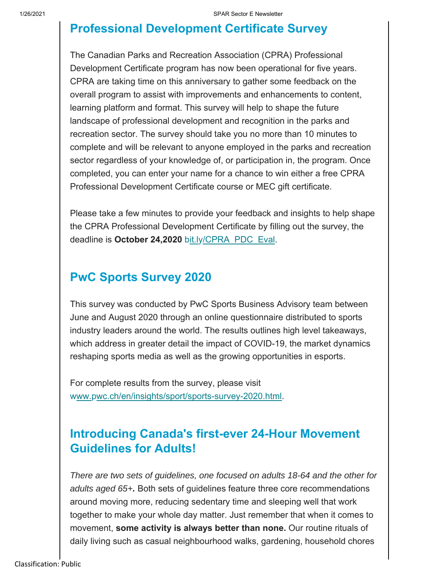#### **Professional Development Certificate Survey**

The Canadian Parks and Recreation Association (CPRA) Professional Development Certificate program has now been operational for five years. CPRA are taking time on this anniversary to gather some feedback on the overall program to assist with improvements and enhancements to content, learning platform and format. This survey will help to shape the future landscape of professional development and recognition in the parks and recreation sector. The survey should take you no more than 10 minutes to complete and will be relevant to anyone employed in the parks and recreation sector regardless of your knowledge of, or participation in, the program. Once completed, you can enter your name for a chance to win either a free CPRA Professional Development Certificate course or MEC gift certificate.

Please take a few minutes to provide your feedback and insights to help shape the CPRA Professional Development Certificate by filling out the survey, the deadline is October 24,2020 bit.ly/CPRA\_PDC\_Eval.

#### **PwC Sports Survey 2020**

This survey was conducted by PwC Sports Business Advisory team between June and August 2020 through an online questionnaire distributed to sports industry leaders around the world. The results outlines high level takeaways, which address in greater detail the impact of COVID-19, the market dynamics reshaping sports media as well as the growing opportunities in esports.

For complete results from the survey, please visit www.pwc.ch/en/insights/sport/sports-survey-2020.html.

#### **Introducing Canada's first-ever 24-Hour Movement Guidelines for Adults!**

*There are two sets of guidelines, one focused on adults 18-64 and the other for adults aged 65+.* Both sets of guidelines feature three core recommendations around moving more, reducing sedentary time and sleeping well that work together to make your whole day matter. Just remember that when it comes to movement, **some activity is always better than none.** Our routine rituals of daily living such as casual neighbourhood walks, gardening, household chores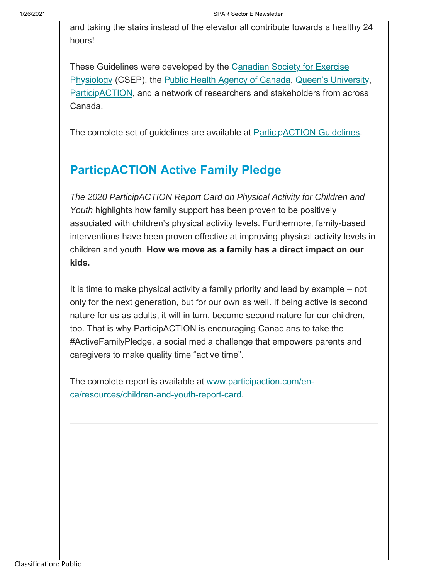and taking the stairs instead of the elevator all contribute towards a healthy 24 hours!

These Guidelines were developed by the C anadian Society for Exercise Physiology (CSEP), the Public Health Agency of Canada, Queen's University, ParticipACTION, and a network of researchers and stakeholders from across Canada.

The complete set of guidelines are available at ParticipACTION Guidelines.

### **ParticpACTION Active Family Pledge**

*The 2020 ParticipACTION Report Card on Physical Activity for Children and Youth* highlights how family support has been proven to be positively associated with children's physical activity levels. Furthermore, family-based interventions have been proven effective at improving physical activity levels in children and youth. **How we move as a family has a direct impact on our kids.**

It is time to make physical activity a family priority and lead by example – not only for the next generation, but for our own as well. If being active is second nature for us as adults, it will in turn, become second nature for our children, too. That is why ParticipACTION is encouraging Canadians to take the #ActiveFamilyPledge, a social media challenge that empowers parents and caregivers to make quality time "active time".

The complete report is available at www.participaction.com/enca/resources/children-and-youth-report-card.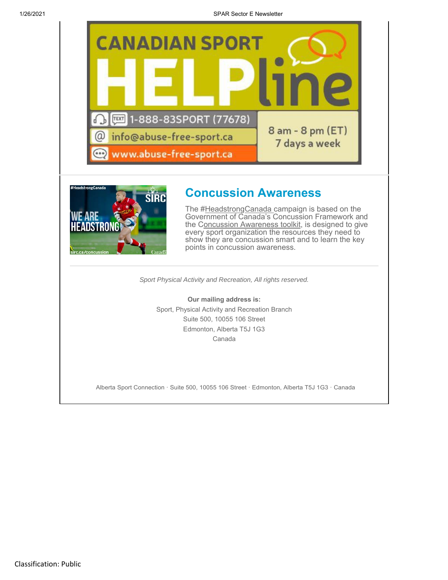



#### **Concussion Awareness**

The #HeadstrongCanada campaign is based on the Government of Canada's Concussion Framework and the Concussion Awareness toolkit, is designed to give every sport organization the resources they need to show they are concussion smart and to learn the key points in concussion awareness.

*Sport Physical Activity and Recreation, All rights reserved.*

**Our mailing address is:** Sport, Physical Activity and Recreation Branch Suite 500, 10055 106 Street Edmonton, Alberta T5J 1G3 Canada

Alberta Sport Connection · Suite 500, 10055 106 Street · Edmonton, Alberta T5J 1G3 · Canada